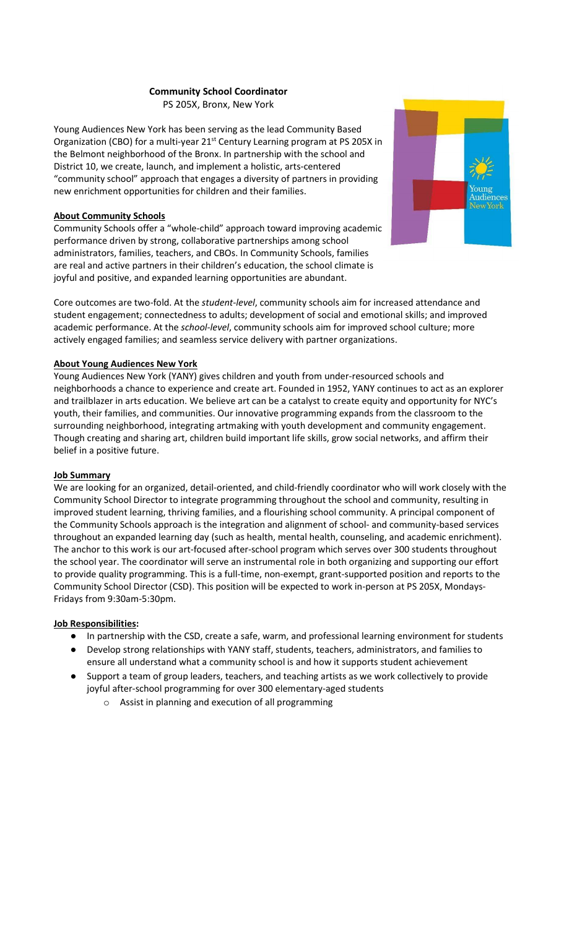# Community School Coordinator

PS 205X, Bronx, New York

Young Audiences New York has been serving as the lead Community Based Organization (CBO) for a multi-year 21<sup>st</sup> Century Learning program at PS 205X in the Belmont neighborhood of the Bronx. In partnership with the school and District 10, we create, launch, and implement a holistic, arts-centered "community school" approach that engages a diversity of partners in providing new enrichment opportunities for children and their families.

# About Community Schools

Community Schools offer a "whole-child" approach toward improving academic performance driven by strong, collaborative partnerships among school administrators, families, teachers, and CBOs. In Community Schools, families are real and active partners in their children's education, the school climate is joyful and positive, and expanded learning opportunities are abundant.



Core outcomes are two-fold. At the student-level, community schools aim for increased attendance and student engagement; connectedness to adults; development of social and emotional skills; and improved academic performance. At the school-level, community schools aim for improved school culture; more actively engaged families; and seamless service delivery with partner organizations.

# About Young Audiences New York

Young Audiences New York (YANY) gives children and youth from under-resourced schools and neighborhoods a chance to experience and create art. Founded in 1952, YANY continues to act as an explorer and trailblazer in arts education. We believe art can be a catalyst to create equity and opportunity for NYC's youth, their families, and communities. Our innovative programming expands from the classroom to the surrounding neighborhood, integrating artmaking with youth development and community engagement. Though creating and sharing art, children build important life skills, grow social networks, and affirm their belief in a positive future.

#### Job Summary

We are looking for an organized, detail-oriented, and child-friendly coordinator who will work closely with the Community School Director to integrate programming throughout the school and community, resulting in improved student learning, thriving families, and a flourishing school community. A principal component of the Community Schools approach is the integration and alignment of school- and community-based services throughout an expanded learning day (such as health, mental health, counseling, and academic enrichment). The anchor to this work is our art-focused after-school program which serves over 300 students throughout the school year. The coordinator will serve an instrumental role in both organizing and supporting our effort to provide quality programming. This is a full-time, non-exempt, grant-supported position and reports to the Community School Director (CSD). This position will be expected to work in-person at PS 205X, Mondays-Fridays from 9:30am-5:30pm.

#### Job Responsibilities:

- In partnership with the CSD, create a safe, warm, and professional learning environment for students
- Develop strong relationships with YANY staff, students, teachers, administrators, and families to ensure all understand what a community school is and how it supports student achievement
- Support a team of group leaders, teachers, and teaching artists as we work collectively to provide joyful after-school programming for over 300 elementary-aged students
	- o Assist in planning and execution of all programming